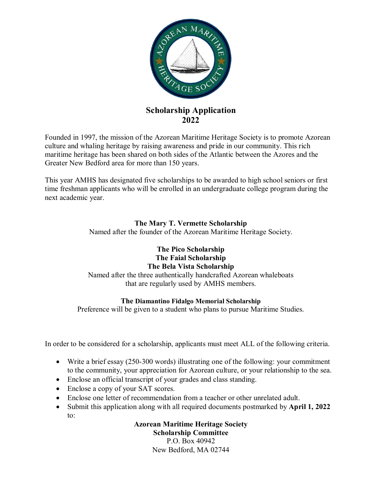

## **Scholarship Application 2022**

Founded in 1997, the mission of the Azorean Maritime Heritage Society is to promote Azorean culture and whaling heritage by raising awareness and pride in our community. This rich maritime heritage has been shared on both sides of the Atlantic between the Azores and the Greater New Bedford area for more than 150 years.

This year AMHS has designated five scholarships to be awarded to high school seniors or first time freshman applicants who will be enrolled in an undergraduate college program during the next academic year.

## **The Mary T. Vermette Scholarship**

Named after the founder of the Azorean Maritime Heritage Society.

## **The Pico Scholarship The Faial Scholarship The Bela Vista Scholarship**  Named after the three authentically handcrafted Azorean whaleboats that are regularly used by AMHS members.

## **The Diamantino Fidalgo Memorial Scholarship**

Preference will be given to a student who plans to pursue Maritime Studies.

In order to be considered for a scholarship, applicants must meet ALL of the following criteria.

- Write a brief essay (250-300 words) illustrating one of the following: your commitment to the community, your appreciation for Azorean culture, or your relationship to the sea.
- Enclose an official transcript of your grades and class standing.
- Enclose a copy of your SAT scores.
- Enclose one letter of recommendation from a teacher or other unrelated adult.
- Submit this application along with all required documents postmarked by **April 1, 2022**  to:

**Azorean Maritime Heritage Society Scholarship Committee**  P.O. Box 40942 New Bedford, MA 02744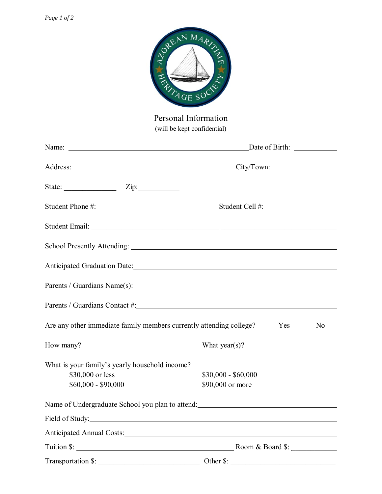| REAN MARINZ<br>TAGE SOC<br>Personal Information<br>(will be kept confidential)                                                                                                                                                 |                                         |
|--------------------------------------------------------------------------------------------------------------------------------------------------------------------------------------------------------------------------------|-----------------------------------------|
|                                                                                                                                                                                                                                |                                         |
|                                                                                                                                                                                                                                |                                         |
| State: <u>Zip:</u> Zip:                                                                                                                                                                                                        |                                         |
| Student Phone #:                                                                                                                                                                                                               | $\frac{1}{2}$ Student Cell #:           |
|                                                                                                                                                                                                                                |                                         |
|                                                                                                                                                                                                                                |                                         |
| Anticipated Graduation Date: No. 2016. The Contract of the Contract of the Contract of the Contract of the Contract of the Contract of the Contract of the Contract of the Contract of the Contract of the Contract of the Con |                                         |
| Parents / Guardians Name(s):                                                                                                                                                                                                   |                                         |
|                                                                                                                                                                                                                                |                                         |
| Are any other immediate family members currently attending college?                                                                                                                                                            | Yes<br>No                               |
| How many?                                                                                                                                                                                                                      | What year(s)?                           |
| What is your family's yearly household income?<br>\$30,000 or less<br>$$60,000 - $90,000$                                                                                                                                      | $$30,000 - $60,000$<br>\$90,000 or more |
| Name of Undergraduate School you plan to attend: Name of Undergraduate School you plan to attend:                                                                                                                              |                                         |
|                                                                                                                                                                                                                                |                                         |
|                                                                                                                                                                                                                                |                                         |
|                                                                                                                                                                                                                                | Room & Board \$:                        |

| Transportation \$: |  |
|--------------------|--|
|--------------------|--|